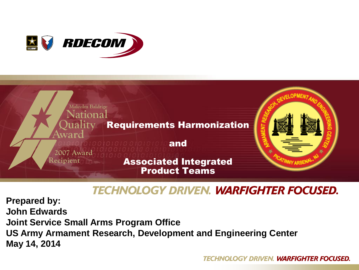



#### **TECHNOLOGY DRIVEN. WARFIGHTER FOCUSED.**

**Prepared by: John Edwards Joint Service Small Arms Program Office US Army Armament Research, Development and Engineering Center May 14, 2014**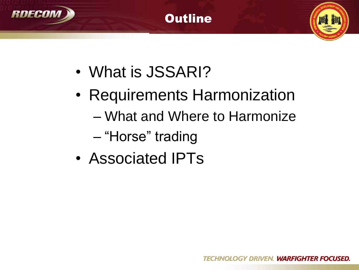





- What is JSSARI?
- Requirements Harmonization
	- What and Where to Harmonize
	- "Horse" trading
- Associated IPTs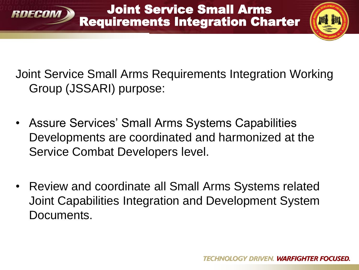

Joint Service Small Arms Requirements Integration Charter



Joint Service Small Arms Requirements Integration Working Group (JSSARI) purpose:

- Assure Services' Small Arms Systems Capabilities Developments are coordinated and harmonized at the Service Combat Developers level.
- Review and coordinate all Small Arms Systems related Joint Capabilities Integration and Development System Documents.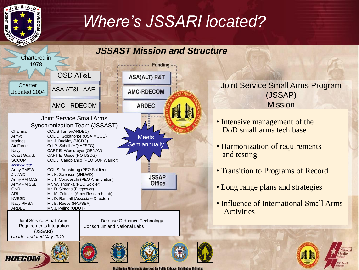

*Charter updated May 2013*

**RDECOM** 

### Where *S* JSSARI located? *Where's JSSARI located?*

#### *JSSAST Mission and Structure*Chartered in 1978 **Funding** OSD AT&L **ASA(ALT) R&T Charter** ASA AT&L, AAE **AMC-RDECOM** Updated 2004 **ARDEC** AMC - RDECOM Joint Service Small Arms Synchronization Team (JSSAST) Chairman COL S.Turner(ARDEC) Army: COL D. Goldthorpe (USA MCOE) **Meets** Marines: Mr. J. Buckley (MCDC) **Semiannually** Air Force: Col P. Scholl (HQ AFSFC) Navy: CAPT E. Weeldreyer (OPNAV) Coast Guard: CAPT E. Giese (HQ USCG) SOCOM: COL J. Capobianco (PEO SOF Warrior) *Associates:* Army PMSW: COL S. Armstrong (PEO Soldier) JNLWD: Mr. K. Swenson (JNLWD) **JSSAP** Army PM MAS Mr. T. Coradeschi (PEO Ammunition) **Office** Army PM SSL Mr. W. Thomka (PEO Soldier) ONR Mr. D. Simons (Firepower) ARL Mr. M. Zoltoski (Army Research Lab) NVESD Mr. D. Randall (Associate Director) Navy PMSA Mr. B. Reese (NAVSEA) ARDEC Mr. J. Pelino (ODOT) Joint Service Small Arms Defense Ordnance Technology Requirements Integration Consortium and National Labs (JSSARI)

Joint Service Small Arms Program (JSSAP) Mission

- Intensive management of the DoD small arms tech base
- Harmonization of requirements and testing
- Transition to Programs of Record
- Long range plans and strategies
- Influence of International Small Arms Activities



**Distribution State** nt A: Approved for Public Release; Distribution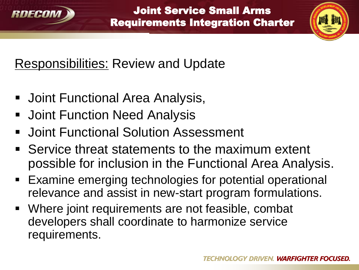



## Responsibilities: Review and Update

- Joint Functional Area Analysis,
- **Joint Function Need Analysis**
- **Joint Functional Solution Assessment**
- **Service threat statements to the maximum extent** possible for inclusion in the Functional Area Analysis.
- Examine emerging technologies for potential operational relevance and assist in new-start program formulations.
- Where joint requirements are not feasible, combat developers shall coordinate to harmonize service requirements.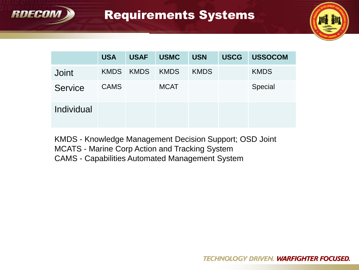

#### Requirements Systems



|                | <b>USA</b>  | <b>USAF</b> | <b>USMC</b> | <b>USN</b>  | <b>USCG</b> | <b>USSOCOM</b> |
|----------------|-------------|-------------|-------------|-------------|-------------|----------------|
| <b>Joint</b>   | <b>KMDS</b> | KMDS        | <b>KMDS</b> | <b>KMDS</b> |             | <b>KMDS</b>    |
| <b>Service</b> | <b>CAMS</b> |             | <b>MCAT</b> |             |             | Special        |
| Individual     |             |             |             |             |             |                |

KMDS - Knowledge Management Decision Support; OSD Joint MCATS - Marine Corp Action and Tracking System CAMS - Capabilities Automated Management System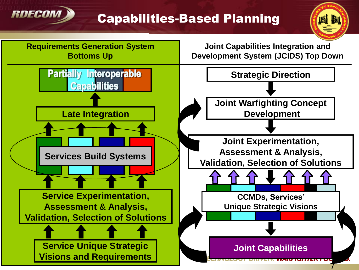

#### Capabilities-Based Planning

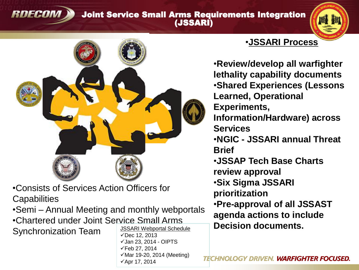#### Joint Service Small Arms Requirements Integration (JSSARI)





•Consists of Services Action Officers for **Capabilities** 

**RDECOM** 

•Semi – Annual Meeting and monthly webportals •Chartered under Joint Service Small Arms Synchronization Team JSSARI Webportal Schedule  $\sqrt{$ Dec 12, 2013  $\checkmark$ Jan 23, 2014 - OIPTS

 $\checkmark$ Feb 27, 2014

 $\sqrt{4}$ pr 17, 2014

 $\checkmark$  Mar 19-20, 2014 (Meeting)

#### •**JSSARI Process**

•**Review/develop all warfighter lethality capability documents** •**Shared Experiences (Lessons Learned, Operational Experiments, Information/Hardware) across Services** •**NGIC - JSSARI annual Threat Brief** •**JSSAP Tech Base Charts review approval** •**Six Sigma JSSARI prioritization** •**Pre-approval of all JSSAST agenda actions to include Decision documents.**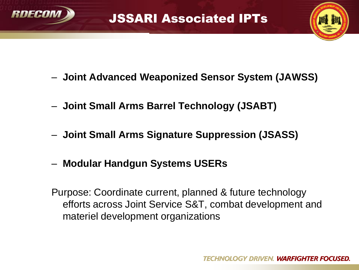



- **Joint Advanced Weaponized Sensor System (JAWSS)**
- **Joint Small Arms Barrel Technology (JSABT)**
- **Joint Small Arms Signature Suppression (JSASS)**
- **Modular Handgun Systems USERs**

Purpose: Coordinate current, planned & future technology efforts across Joint Service S&T, combat development and materiel development organizations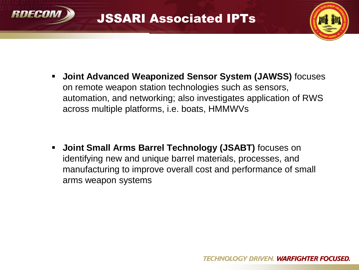



 **Joint Advanced Weaponized Sensor System (JAWSS)** focuses on remote weapon station technologies such as sensors, automation, and networking; also investigates application of RWS across multiple platforms, i.e. boats, HMMWVs

 **Joint Small Arms Barrel Technology (JSABT)** focuses on identifying new and unique barrel materials, processes, and manufacturing to improve overall cost and performance of small arms weapon systems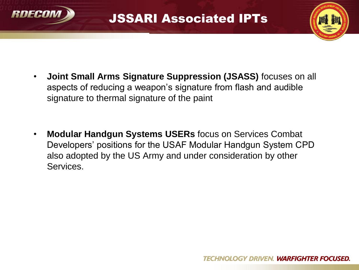

### JSSARI Associated IPTs



- **Joint Small Arms Signature Suppression (JSASS)** focuses on all aspects of reducing a weapon's signature from flash and audible signature to thermal signature of the paint
- **Modular Handgun Systems USERs** focus on Services Combat Developers' positions for the USAF Modular Handgun System CPD also adopted by the US Army and under consideration by other Services.